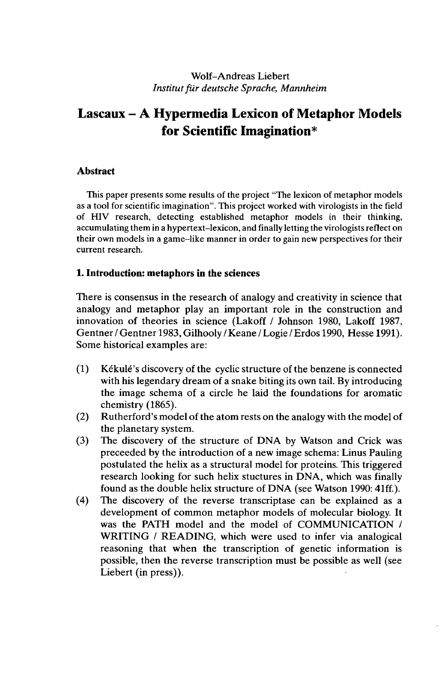### Wolf-Andreas Liebert *Institutfür deutsche Sprache, Mannheim*

# **Lascaux - A Hypermedia Lexicon of Metaphor Models for Scientific Imagination\***

### **Abstract**

This paper presents some results of the project "The lexicon of metaphor models as a tool for scientific imagination". This project worked with virologists in the field of HIV research, detecting established metaphor models in their thinking, accumulating them in a hypertext-lexicon, and finally letting the virologists reflect on their own models in a game-like manner in order to gain new perspectives for their current research.

### **1. Introduction: metaphors in the sciences**

There is consensus in the research of analogy and creativity in science that analogy and metaphor play an important role in the construction and innovation of theories in science (Lakoff / Johnson 1980, Lakoff 1987, Gentner / Gentner 1983, Gilhooly / Keane / Logie / Erdos 1990, Hesse 1991). Some historical examples are:

- $(1)$  Kékulé's discovery of the cyclic structure of the benzene is connected with his legendary dream of a snake biting its own tail. By introducing the image schema of a circle he laid the foundations for aromatic chemistry (1865).
- (2) Rutherford's model of the atom rests on the analogy with the model of the planetary system.
- (3) The discovery of the structure of DNA by Watson and Crick was preceeded by the introduction of a new image schema: Linus Pauling postulated the helix as a structural model for proteins. This triggered research looking for such helix stuctures in DNA, which was finally found as the double helix structure of DNA (see Watson 1990: 41ff.).
- (4) The discovery of the reverse transcriptase can be explained as a development of common metaphor models of molecular biology. It was the PATH model and the model of COMMUNICATION / WRITING / READING, which were used to infer via analogical reasoning that when the transcription of genetic information is possible, then the reverse transcription must be possible as well (see Liebert (in press)).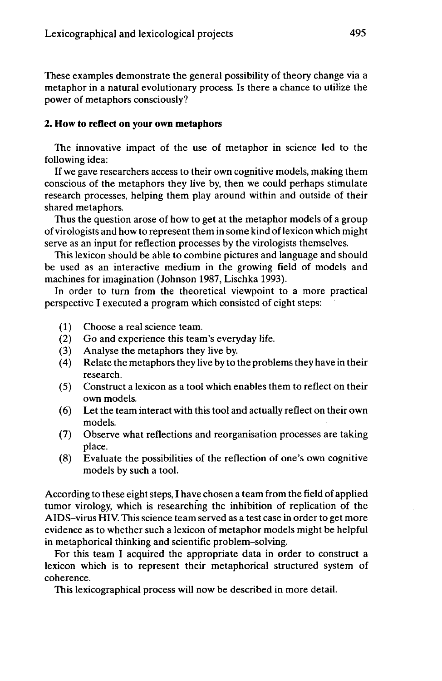These examples demonstrate the general possibility of theory change via a metaphor in a natural evolutionary process. Is there a chance to utilize the power of metaphors consciously?

#### **2. How to reflect on your own metaphors**

The innovative impact of the use of metaphor in science led to the following idea:

If we gave researchers access to their own cognitive models, making them conscious of the metaphors they live by, then we could perhaps stimulate research processes, helping them play around within and outside of their shared metaphors.

Thus the question arose of how to get at the metaphor models of a group of virologists and how to represent them in some kind oflexicon which might serve as an input for reflection processes by the virologists themselves.

This lexicon should be able to combine pictures and language and should be used as an interactive medium in the growing field of models and machines for imagination (Johnson 1987, Lischka 1993).

In order to turn from the theoretical viewpoint to a more practical perspective I executed a program which consisted of eight steps:

- (1) Choose a real science team.
- (2) Go and experience this team's everyday life.
- (3) Analyse the metaphors they live by.<br>  $(4)$  Relate the metaphors they live by to t
- Relate the metaphors they live by to the problems they have in their research.
- (5) Construct a lexicon as a tool which enables them to reflect on their own models.
- (6) Letthe team interact with this tool and actually reflect on their own models.
- (7) Observe what reflections and reorganisation processes are taking place.
- (8) Evaluate the possibilities of the reflection of one's own cognitive models by such a tool.

According to these eight steps, I have chosen a team from the field of applied tumor virology, which is researching the inhibition of replication of the AIDS-virus HIV. This science team served as a test case in order to get more evidence as to whether such a lexicon of metaphor models might be helpful in metaphorical thinking and scientific problem-solving.

For this team I acquired the appropriate data in order to construct a lexicon which is to represent their metaphorical structured system of coherence.

This lexicographical process will now be described in more detail.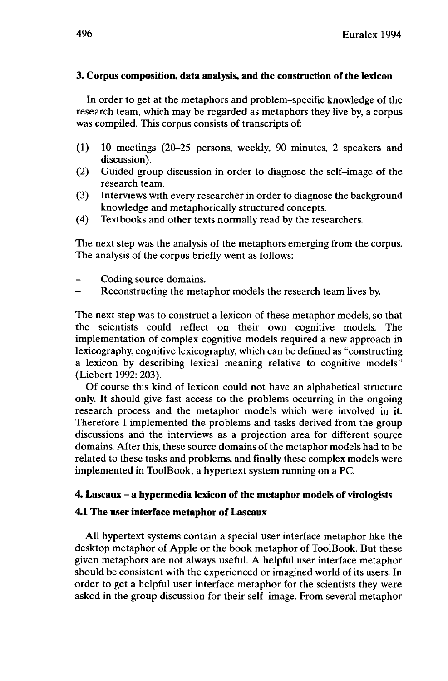### **3. Corpus composition, data analysis, and the construction of the lexicon**

In order to get at the metaphors and problem-specific knowledge of the research team, which may be regarded as metaphors they live by, a corpus was compiled. This corpus consists of transcripts of:

- (1) 10 meetings (20-25 persons, weekly, 90 minutes, 2 speakers and discussion).
- (2) Guided group discussion in order to diagnose the self-image of the research team.
- (3) Interviews with every researcher in order to diagnose the background knowledge and metaphorically structured concepts.
- (4) Textbooks and other texts normally read by the researchers.

The next step was the analysis of the metaphors emerging from the corpus. The analysis of the corpus briefly went as follows:

- Coding source domains.
- Reconstructing the metaphor models the research team lives by.

The next step was to construct a lexicon of these metaphor models, so that the scientists could reflect on their own cognitive models. The implementation of complex cognitive models required a new approach in lexicography, cognitive lexicography, which can be defined as "constructing a lexicon by describing lexical meaning relative to cognitive models" (Liebert 1992: 203).

Of course this kind of lexicon could not have an alphabetical structure only. It should give fast access to the problems occurring in the ongoing research process and the metaphor models which were involved in it. Therefore I implemented the problems and tasks derived from the group discussions and the interviews as a projection area for different source domains. After this, these source domains of the metaphor models had to be related to these tasks and problems, and finally these complex models were implemented in ToolBook, a hypertext system running on a PC.

# **4. Lascaux - <sup>a</sup> hypermedia lexicon of the metaphor models of virologists**

# **4.1 The user interface metaphor of Lascaux**

All hypertext systems contain a special user interface metaphor like the desktop metaphor of Apple or the book metaphor of ToolBook. But these given metaphors are not always useful. A helpful user interface metaphor should be consistent with the experienced or imagined world of its users. In order to get a helpful user interface metaphor for the scientists they were asked in the group discussion for their self-image. From several metaphor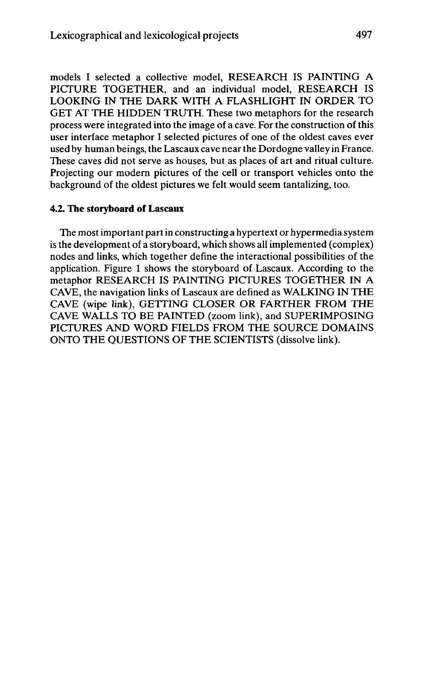models I selected a collective model, RESEARCH IS PAINTING A PICTURE TOGETHER, and an individual model, RESEARCH IS LOOKING IN THE DARK WITH A FLASHLIGHT IN ORDER TO GET AT THE HIDDEN TRUTH. These two metaphors for the research process were integrated into the image of a cave. For the construction of this user interface metaphor I selected pictures of one of the oldest caves ever used by human beings, the Lascaux cave near the Dordogne valley in France. These caves did not serve as houses, but as places of art and ritual culture. Projecting our modern pictures of the cell or transport vehicles onto the background of the oldest pictures we felt would seem tantalizing, too.

#### **4.2. The storyboard of Lascaux**

The mostimportant partin constructing a hypertext or hypermedia system is the development of a storyboard, which shows all implemented (complex) nodes and links, which together define the interactional possibilities of the application. Figure <sup>1</sup> shows the storyboard of Lascaux. According to the metaphor RESEARCH IS PAINTING PICTURES TOGETHER IN A CAVE, the navigation links of Lascaux are defined as WALKING IN THE CAVE (wipe link), GETTING CLOSER OR FARTHER FROM THE CAVE WALLS TO BE PAINTED (zoom link), and SUPERIMPOSING PICTURES AND WORD FIELDS FROM THE SOURCE DOMAINS ONTO THE QUESTIONS OF THE SCIENTISTS (dissolve link).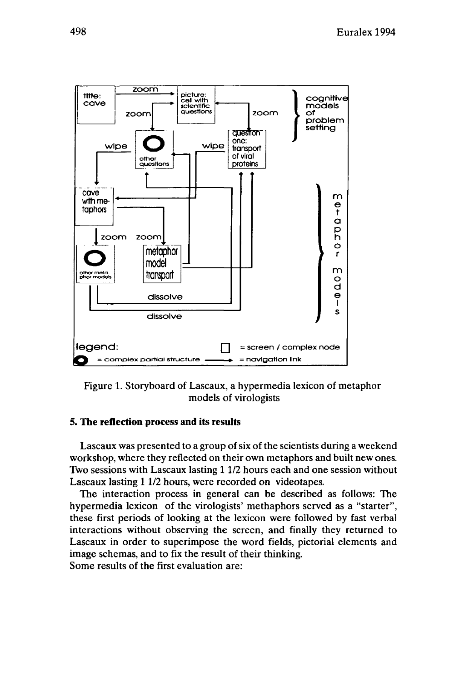



Figure 1. Storyboard of Lascaux, a hypermedia lexicon of metaphor models of virologists

### **5. The reflection process and its results**

Lascaux was presented to a group of six of the scientists during a weekend workshop, where they reflected on their own metaphors and built new ones. Two sessions with Lascaux lasting 11/2 hours each and one session without Lascaux lasting 11/2 hours, were recorded on videotapes.

The interaction process in general can be described as follows: The hypermedia lexicon of the virologists' methaphors served as a "starter", these first periods of looking at the lexicon were followed by fast verbal interactions without observing the screen, and finally they returned to Lascaux in order to superimpose the word fields, pictorial elements and image schemas, and to fix the result of their thinking. Some results of the first evaluation are: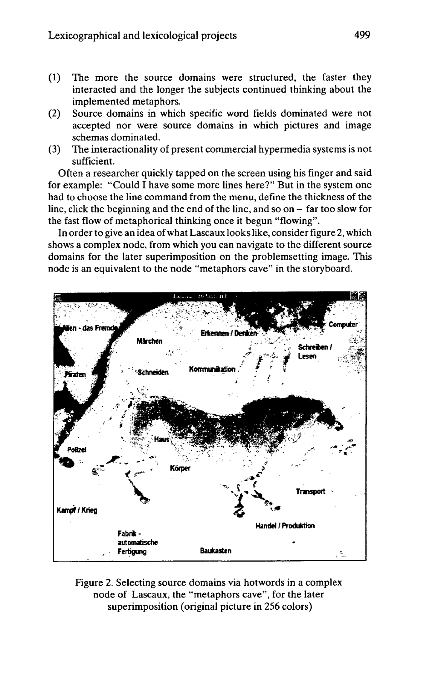- (1) The more the source domains were structured, the faster they interacted and the longer the subjects continued thinking about the implemented metaphors.
- (2) Source domains in which specific word fields dominated were not accepted nor were source domains in which pictures and image schemas dominated.
- (3) The interactionality of present commercial hypermedia systems is not sufficient.

Often a researcher quickly tapped on the screen using his finger and said for example: "Could I have some more lines here?" But in the system one had to choose the line command from the menu, define the thickness of the line, click the beginning and the end of the line, and so on - far too slow for the fast flow of metaphorical thinking once it begun "flowing".

In order to give an idea of what Lascaux looks like, consider figure 2, which shows a complex node, from which you can navigate to the different source domains for the later superimposition on the problemsetting image. This node is an equivalent to the node "metaphors cave" in the storyboard.